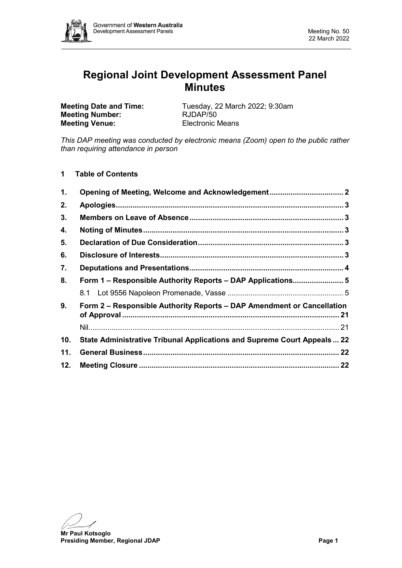

# **Regional Joint Development Assessment Panel Minutes**

**Meeting Number: Meeting Venue:** Electronic Means

**Meeting Date and Time:** Tuesday, 22 March 2022; 9:30am<br> **Meeting Number:** RJDAP/50

*This DAP meeting was conducted by electronic means (Zoom) open to the public rather than requiring attendance in person*

**1 Table of Contents**

| 1.  | Opening of Meeting, Welcome and Acknowledgement 2                       |  |  |  |
|-----|-------------------------------------------------------------------------|--|--|--|
| 2.  |                                                                         |  |  |  |
| 3.  |                                                                         |  |  |  |
| 4.  |                                                                         |  |  |  |
| 5.  |                                                                         |  |  |  |
| 6.  |                                                                         |  |  |  |
| 7.  |                                                                         |  |  |  |
| 8.  | Form 1 - Responsible Authority Reports - DAP Applications 5             |  |  |  |
|     |                                                                         |  |  |  |
| 9.  | Form 2 – Responsible Authority Reports – DAP Amendment or Cancellation  |  |  |  |
|     |                                                                         |  |  |  |
| 10. | State Administrative Tribunal Applications and Supreme Court Appeals 22 |  |  |  |
| 11. |                                                                         |  |  |  |
| 12. |                                                                         |  |  |  |

**Mr Paul Kotsoglo**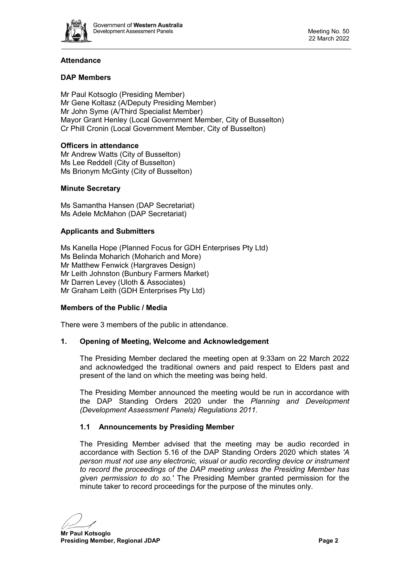

# **Attendance**

### **DAP Members**

Mr Paul Kotsoglo (Presiding Member) Mr Gene Koltasz (A/Deputy Presiding Member) Mr John Syme (A/Third Specialist Member) Mayor Grant Henley (Local Government Member, City of Busselton) Cr Phill Cronin (Local Government Member, City of Busselton)

### **Officers in attendance**

Mr Andrew Watts (City of Busselton) Ms Lee Reddell (City of Busselton) Ms Brionym McGinty (City of Busselton)

### **Minute Secretary**

Ms Samantha Hansen (DAP Secretariat) Ms Adele McMahon (DAP Secretariat)

### **Applicants and Submitters**

Ms Kanella Hope (Planned Focus for GDH Enterprises Pty Ltd) Ms Belinda Moharich (Moharich and More) Mr Matthew Fenwick (Hargraves Design) Mr Leith Johnston (Bunbury Farmers Market) Mr Darren Levey (Uloth & Associates) Mr Graham Leith (GDH Enterprises Pty Ltd)

### **Members of the Public / Media**

<span id="page-1-0"></span>There were 3 members of the public in attendance.

### **1. Opening of Meeting, Welcome and Acknowledgement**

The Presiding Member declared the meeting open at 9:33am on 22 March 2022 and acknowledged the traditional owners and paid respect to Elders past and present of the land on which the meeting was being held.

The Presiding Member announced the meeting would be run in accordance with the DAP Standing Orders 2020 under the *Planning and Development (Development Assessment Panels) Regulations 2011.*

### **1.1 Announcements by Presiding Member**

The Presiding Member advised that the meeting may be audio recorded in accordance with Section 5.16 of the DAP Standing Orders 2020 which states *'A person must not use any electronic, visual or audio recording device or instrument to record the proceedings of the DAP meeting unless the Presiding Member has given permission to do so.'* The Presiding Member granted permission for the minute taker to record proceedings for the purpose of the minutes only.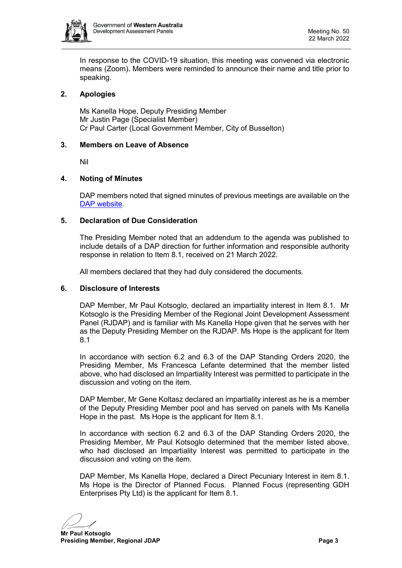

In response to the COVID-19 situation, this meeting was convened via electronic means (Zoom). Members were reminded to announce their name and title prior to speaking.

# <span id="page-2-0"></span>**2. Apologies**

Ms Kanella Hope, Deputy Presiding Member Mr Justin Page (Specialist Member) Cr Paul Carter (Local Government Member, City of Busselton)

#### <span id="page-2-1"></span>**3. Members on Leave of Absence**

Nil

#### <span id="page-2-2"></span>**4. Noting of Minutes**

DAP members noted that signed minutes of previous meetings are available on the [DAP website.](https://www.dplh.wa.gov.au/about/development-assessment-panels/daps-agendas-and-minutes)

#### <span id="page-2-3"></span>**5. Declaration of Due Consideration**

The Presiding Member noted that an addendum to the agenda was published to include details of a DAP direction for further information and responsible authority response in relation to Item 8.1, received on 21 March 2022.

All members declared that they had duly considered the documents.

#### <span id="page-2-4"></span>**6. Disclosure of Interests**

DAP Member, Mr Paul Kotsoglo, declared an impartiality interest in Item 8.1. Mr Kotsoglo is the Presiding Member of the Regional Joint Development Assessment Panel (RJDAP) and is familiar with Ms Kanella Hope given that he serves with her as the Deputy Presiding Member on the RJDAP. Ms Hope is the applicant for Item 8.1

In accordance with section 6.2 and 6.3 of the DAP Standing Orders 2020, the Presiding Member, Ms Francesca Lefante determined that the member listed above, who had disclosed an Impartiality Interest was permitted to participate in the discussion and voting on the item.

DAP Member, Mr Gene Koltasz declared an impartiality interest as he is a member of the Deputy Presiding Member pool and has served on panels with Ms Kanella Hope in the past. Ms Hope is the applicant for Item 8.1.

In accordance with section 6.2 and 6.3 of the DAP Standing Orders 2020, the Presiding Member, Mr Paul Kotsoglo determined that the member listed above, who had disclosed an Impartiality Interest was permitted to participate in the discussion and voting on the item.

DAP Member, Ms Kanella Hope, declared a Direct Pecuniary Interest in item 8.1. Ms Hope is the Director of Planned Focus. Planned Focus (representing GDH Enterprises Pty Ltd) is the applicant for Item 8.1.

**Mr Paul Kotsoglo Presiding Member, Regional JDAP Page 3 Page 3**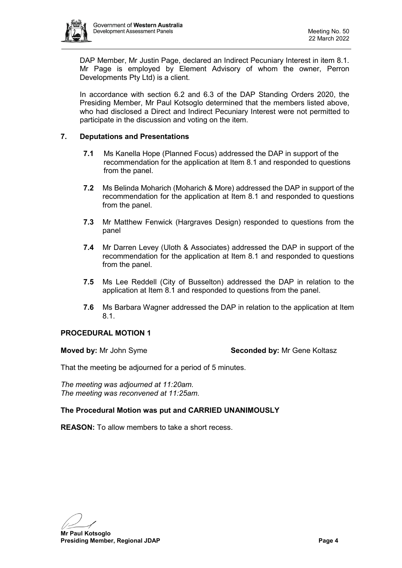

DAP Member, Mr Justin Page, declared an Indirect Pecuniary Interest in item 8.1. Mr Page is employed by Element Advisory of whom the owner, Perron Developments Pty Ltd) is a client.

In accordance with section 6.2 and 6.3 of the DAP Standing Orders 2020, the Presiding Member, Mr Paul Kotsoglo determined that the members listed above, who had disclosed a Direct and Indirect Pecuniary Interest were not permitted to participate in the discussion and voting on the item.

### <span id="page-3-0"></span>**7. Deputations and Presentations**

- **7.1** Ms Kanella Hope (Planned Focus) addressed the DAP in support of the recommendation for the application at Item 8.1 and responded to questions from the panel.
- **7.2** Ms Belinda Moharich (Moharich & More) addressed the DAP in support of the recommendation for the application at Item 8.1 and responded to questions from the panel.
- **7.3** Mr Matthew Fenwick (Hargraves Design) responded to questions from the panel
- **7.4** Mr Darren Levey (Uloth & Associates) addressed the DAP in support of the recommendation for the application at Item 8.1 and responded to questions from the panel.
- **7.5** Ms Lee Reddell (City of Busselton) addressed the DAP in relation to the application at Item 8.1 and responded to questions from the panel.
- **7.6** Ms Barbara Wagner addressed the DAP in relation to the application at Item 8.1.

### **PROCEDURAL MOTION 1**

**Moved by:** Mr John Syme **Seconded by:** Mr Gene Koltasz

That the meeting be adjourned for a period of 5 minutes.

*The meeting was adjourned at 11:20am. The meeting was reconvened at 11:25am.*

### **The Procedural Motion was put and CARRIED UNANIMOUSLY**

**REASON:** To allow members to take a short recess.

**Mr Paul Kotsoglo**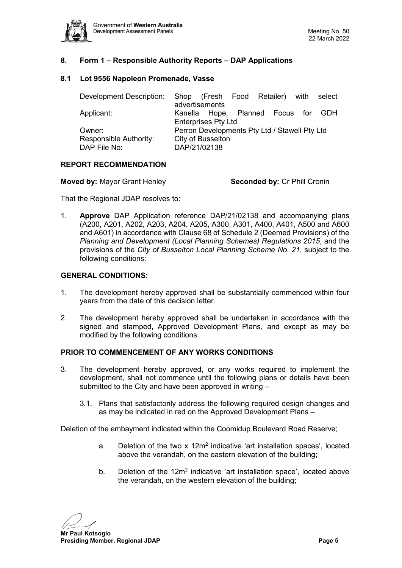

### <span id="page-4-0"></span>**8. Form 1 – Responsible Authority Reports – DAP Applications**

#### <span id="page-4-1"></span>**8.1 Lot 9556 Napoleon Promenade, Vasse**

| Development Description: |                                               |  |  | Shop (Fresh Food Retailer) with select |  |  |  |
|--------------------------|-----------------------------------------------|--|--|----------------------------------------|--|--|--|
|                          | advertisements                                |  |  |                                        |  |  |  |
| Applicant:               |                                               |  |  | Kanella Hope, Planned Focus for GDH    |  |  |  |
|                          | <b>Enterprises Pty Ltd</b>                    |  |  |                                        |  |  |  |
| Owner:                   | Perron Developments Pty Ltd / Stawell Pty Ltd |  |  |                                        |  |  |  |
| Responsible Authority:   | City of Busselton                             |  |  |                                        |  |  |  |
| DAP File No:             | DAP/21/02138                                  |  |  |                                        |  |  |  |
|                          |                                               |  |  |                                        |  |  |  |

#### **REPORT RECOMMENDATION**

That the Regional JDAP resolves to:

1. **Approve** DAP Application reference DAP/21/02138 and accompanying plans (A200, A201, A202, A203, A204, A205, A300, A301, A400, A401, A500 and A600 and A601) in accordance with Clause 68 of Schedule 2 (Deemed Provisions) of the *Planning and Development (Local Planning Schemes) Regulations 2015*, and the provisions of the *City of Busselton Local Planning Scheme No. 21*, subject to the following conditions:

#### **GENERAL CONDITIONS:**

- 1. The development hereby approved shall be substantially commenced within four years from the date of this decision letter.
- 2. The development hereby approved shall be undertaken in accordance with the signed and stamped, Approved Development Plans, and except as may be modified by the following conditions.

#### **PRIOR TO COMMENCEMENT OF ANY WORKS CONDITIONS**

- 3. The development hereby approved, or any works required to implement the development, shall not commence until the following plans or details have been submitted to the City and have been approved in writing –
	- 3.1. Plans that satisfactorily address the following required design changes and as may be indicated in red on the Approved Development Plans –

Deletion of the embayment indicated within the Coomidup Boulevard Road Reserve;

- a. Deletion of the two  $x$  12 $m<sup>2</sup>$  indicative 'art installation spaces', located above the verandah, on the eastern elevation of the building;
- b. Deletion of the 12m<sup>2</sup> indicative 'art installation space', located above the verandah, on the western elevation of the building;

**Mr Paul Kotsoglo**

**Presiding Member, Regional JDAP Page 5**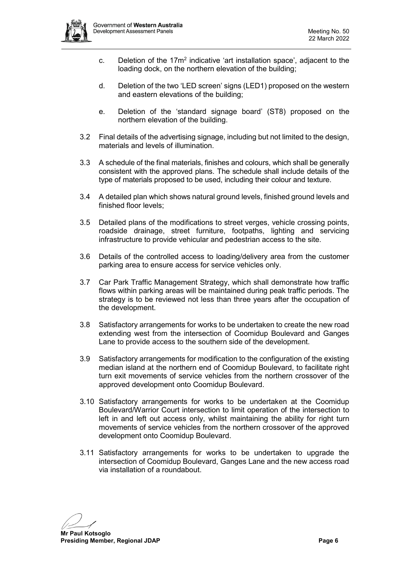

- c. Deletion of the  $17m^2$  indicative 'art installation space', adjacent to the loading dock, on the northern elevation of the building;
- d. Deletion of the two 'LED screen' signs (LED1) proposed on the western and eastern elevations of the building;
- e. Deletion of the 'standard signage board' (ST8) proposed on the northern elevation of the building.
- 3.2 Final details of the advertising signage, including but not limited to the design, materials and levels of illumination.
- 3.3 A schedule of the final materials, finishes and colours, which shall be generally consistent with the approved plans. The schedule shall include details of the type of materials proposed to be used, including their colour and texture.
- 3.4 A detailed plan which shows natural ground levels, finished ground levels and finished floor levels;
- 3.5 Detailed plans of the modifications to street verges, vehicle crossing points, roadside drainage, street furniture, footpaths, lighting and servicing infrastructure to provide vehicular and pedestrian access to the site.
- 3.6 Details of the controlled access to loading/delivery area from the customer parking area to ensure access for service vehicles only.
- 3.7 Car Park Traffic Management Strategy, which shall demonstrate how traffic flows within parking areas will be maintained during peak traffic periods. The strategy is to be reviewed not less than three years after the occupation of the development.
- 3.8 Satisfactory arrangements for works to be undertaken to create the new road extending west from the intersection of Coomidup Boulevard and Ganges Lane to provide access to the southern side of the development.
- 3.9 Satisfactory arrangements for modification to the configuration of the existing median island at the northern end of Coomidup Boulevard, to facilitate right turn exit movements of service vehicles from the northern crossover of the approved development onto Coomidup Boulevard.
- 3.10 Satisfactory arrangements for works to be undertaken at the Coomidup Boulevard/Warrior Court intersection to limit operation of the intersection to left in and left out access only, whilst maintaining the ability for right turn movements of service vehicles from the northern crossover of the approved development onto Coomidup Boulevard.
- 3.11 Satisfactory arrangements for works to be undertaken to upgrade the intersection of Coomidup Boulevard, Ganges Lane and the new access road via installation of a roundabout.

**Mr Paul Kotsoglo**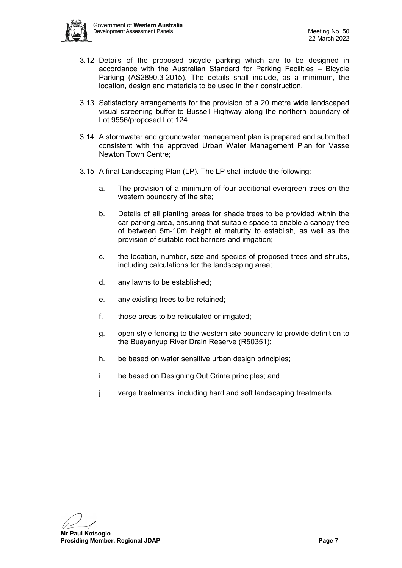

- 3.12 Details of the proposed bicycle parking which are to be designed in accordance with the Australian Standard for Parking Facilities – Bicycle Parking (AS2890.3-2015). The details shall include, as a minimum, the location, design and materials to be used in their construction.
- 3.13 Satisfactory arrangements for the provision of a 20 metre wide landscaped visual screening buffer to Bussell Highway along the northern boundary of Lot 9556/proposed Lot 124.
- 3.14 A stormwater and groundwater management plan is prepared and submitted consistent with the approved Urban Water Management Plan for Vasse Newton Town Centre;
- 3.15 A final Landscaping Plan (LP). The LP shall include the following:
	- a. The provision of a minimum of four additional evergreen trees on the western boundary of the site;
	- b. Details of all planting areas for shade trees to be provided within the car parking area, ensuring that suitable space to enable a canopy tree of between 5m-10m height at maturity to establish, as well as the provision of suitable root barriers and irrigation;
	- c. the location, number, size and species of proposed trees and shrubs, including calculations for the landscaping area;
	- d. any lawns to be established;
	- e. any existing trees to be retained;
	- f. those areas to be reticulated or irrigated;
	- g. open style fencing to the western site boundary to provide definition to the Buayanyup River Drain Reserve (R50351);
	- h. be based on water sensitive urban design principles;
	- i. be based on Designing Out Crime principles; and
	- j. verge treatments, including hard and soft landscaping treatments.

**Mr Paul Kotsoglo**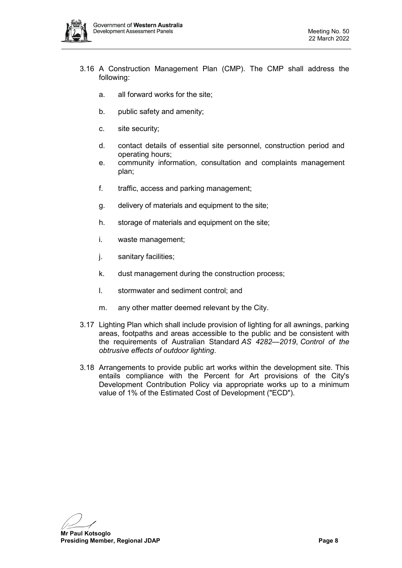

- 3.16 A Construction Management Plan (CMP). The CMP shall address the following:
	- a. all forward works for the site;
	- b. public safety and amenity;
	- c. site security;
	- d. contact details of essential site personnel, construction period and operating hours;
	- e. community information, consultation and complaints management plan;
	- f. traffic, access and parking management;
	- g. delivery of materials and equipment to the site;
	- h. storage of materials and equipment on the site;
	- i. waste management;
	- j. sanitary facilities;
	- k. dust management during the construction process;
	- l. stormwater and sediment control; and
	- m. any other matter deemed relevant by the City.
- 3.17 Lighting Plan which shall include provision of lighting for all awnings, parking areas, footpaths and areas accessible to the public and be consistent with the requirements of Australian Standard *AS 4282—2019*, *Control of the obtrusive effects of outdoor lighting*.
- 3.18 Arrangements to provide public art works within the development site. This entails compliance with the Percent for Art provisions of the City's Development Contribution Policy via appropriate works up to a minimum value of 1% of the Estimated Cost of Development ("ECD").

**Mr Paul Kotsoglo**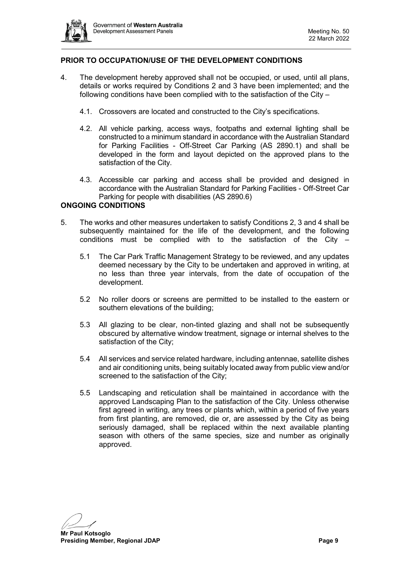

# **PRIOR TO OCCUPATION/USE OF THE DEVELOPMENT CONDITIONS**

- 4. The development hereby approved shall not be occupied, or used, until all plans, details or works required by Conditions 2 and 3 have been implemented; and the following conditions have been complied with to the satisfaction of the City –
	- 4.1. Crossovers are located and constructed to the City's specifications.
	- 4.2. All vehicle parking, access ways, footpaths and external lighting shall be constructed to a minimum standard in accordance with the Australian Standard for Parking Facilities - Off-Street Car Parking (AS 2890.1) and shall be developed in the form and layout depicted on the approved plans to the satisfaction of the City.
	- 4.3. Accessible car parking and access shall be provided and designed in accordance with the Australian Standard for Parking Facilities - Off-Street Car Parking for people with disabilities (AS 2890.6)

### **ONGOING CONDITIONS**

- 5. The works and other measures undertaken to satisfy Conditions 2, 3 and 4 shall be subsequently maintained for the life of the development, and the following conditions must be complied with to the satisfaction of the City –
	- 5.1 The Car Park Traffic Management Strategy to be reviewed, and any updates deemed necessary by the City to be undertaken and approved in writing, at no less than three year intervals, from the date of occupation of the development.
	- 5.2 No roller doors or screens are permitted to be installed to the eastern or southern elevations of the building;
	- 5.3 All glazing to be clear, non-tinted glazing and shall not be subsequently obscured by alternative window treatment, signage or internal shelves to the satisfaction of the City;
	- 5.4 All services and service related hardware, including antennae, satellite dishes and air conditioning units, being suitably located away from public view and/or screened to the satisfaction of the City;
	- 5.5 Landscaping and reticulation shall be maintained in accordance with the approved Landscaping Plan to the satisfaction of the City. Unless otherwise first agreed in writing, any trees or plants which, within a period of five years from first planting, are removed, die or, are assessed by the City as being seriously damaged, shall be replaced within the next available planting season with others of the same species, size and number as originally approved.

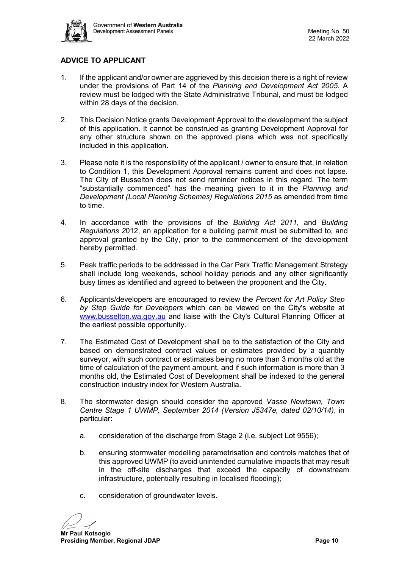

# **ADVICE TO APPLICANT**

- 1. If the applicant and/or owner are aggrieved by this decision there is a right of review under the provisions of Part 14 of the *Planning and Development Act 2005*. A review must be lodged with the State Administrative Tribunal, and must be lodged within 28 days of the decision.
- 2. This Decision Notice grants Development Approval to the development the subject of this application. It cannot be construed as granting Development Approval for any other structure shown on the approved plans which was not specifically included in this application.
- 3. Please note it is the responsibility of the applicant / owner to ensure that, in relation to Condition 1, this Development Approval remains current and does not lapse. The City of Busselton does not send reminder notices in this regard. The term "substantially commenced" has the meaning given to it in the *Planning and Development (Local Planning Schemes) Regulations 2015* as amended from time to time.
- 4. In accordance with the provisions of the *Building Act 2011*, and *Building Regulations 2*012, an application for a building permit must be submitted to, and approval granted by the City, prior to the commencement of the development hereby permitted.
- 5. Peak traffic periods to be addressed in the Car Park Traffic Management Strategy shall include long weekends, school holiday periods and any other significantly busy times as identified and agreed to between the proponent and the City.
- 6. Applicants/developers are encouraged to review the *Percent for Art Policy Step by Step Guide for Developers* which can be viewed on the City's website at [www.busselton.wa.gov.au](http://www.busselton.wa.gov.au/) and liaise with the City's Cultural Planning Officer at the earliest possible opportunity.
- 7. The Estimated Cost of Development shall be to the satisfaction of the City and based on demonstrated contract values or estimates provided by a quantity surveyor, with such contract or estimates being no more than 3 months old at the time of calculation of the payment amount, and if such information is more than 3 months old, the Estimated Cost of Development shall be indexed to the general construction industry index for Western Australia.
- 8. The stormwater design should consider the approved *Vasse Newtown, Town Centre Stage 1 UWMP, September 2014 (Version J5347e, dated 02/10/14)*, in particular:
	- a. consideration of the discharge from Stage 2 (i.e. subject Lot 9556);
	- b. ensuring stormwater modelling parametrisation and controls matches that of this approved UWMP (to avoid unintended cumulative impacts that may result in the off-site discharges that exceed the capacity of downstream infrastructure, potentially resulting in localised flooding);
	- c. consideration of groundwater levels.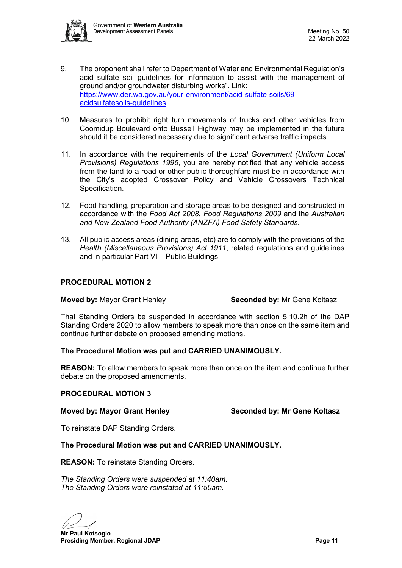

- 9. The proponent shall refer to Department of Water and Environmental Regulation's acid sulfate soil guidelines for information to assist with the management of ground and/or groundwater disturbing works". Link: [https://www.der.wa.gov.au/your-environment/acid-sulfate-soils/69](https://www.der.wa.gov.au/your-environment/acid-sulfate-soils/69-acidsulfatesoils-guidelines) [acidsulfatesoils-guidelines](https://www.der.wa.gov.au/your-environment/acid-sulfate-soils/69-acidsulfatesoils-guidelines)
- 10. Measures to prohibit right turn movements of trucks and other vehicles from Coomidup Boulevard onto Bussell Highway may be implemented in the future should it be considered necessary due to significant adverse traffic impacts.
- 11. In accordance with the requirements of the *Local Government (Uniform Local Provisions) Regulations 1996*, you are hereby notified that any vehicle access from the land to a road or other public thoroughfare must be in accordance with the City's adopted Crossover Policy and Vehicle Crossovers Technical Specification.
- 12. Food handling, preparation and storage areas to be designed and constructed in accordance with the *Food Act 2008*, *Food Regulations 2009* and the *Australian and New Zealand Food Authority (ANZFA) Food Safety Standards.*
- 13. All public access areas (dining areas, etc) are to comply with the provisions of the *Health (Miscellaneous Provisions) Act 1911*, related regulations and guidelines and in particular Part VI – Public Buildings.

# **PROCEDURAL MOTION 2**

**Moved by: Mayor Grant Henley <b>Seconded by:** Mr Gene Koltasz

That Standing Orders be suspended in accordance with section 5.10.2h of the DAP Standing Orders 2020 to allow members to speak more than once on the same item and continue further debate on proposed amending motions.

### **The Procedural Motion was put and CARRIED UNANIMOUSLY.**

**REASON:** To allow members to speak more than once on the item and continue further debate on the proposed amendments.

### **PROCEDURAL MOTION 3**

**Moved by: Mayor Grant Henley Seconded by: Mr Gene Koltasz**

To reinstate DAP Standing Orders.

### **The Procedural Motion was put and CARRIED UNANIMOUSLY.**

**REASON:** To reinstate Standing Orders.

*The Standing Orders were suspended at 11:40am. The Standing Orders were reinstated at 11:50am.*

**Mr Paul Kotsoglo Presiding Member, Regional JDAP Page 11 Page 11**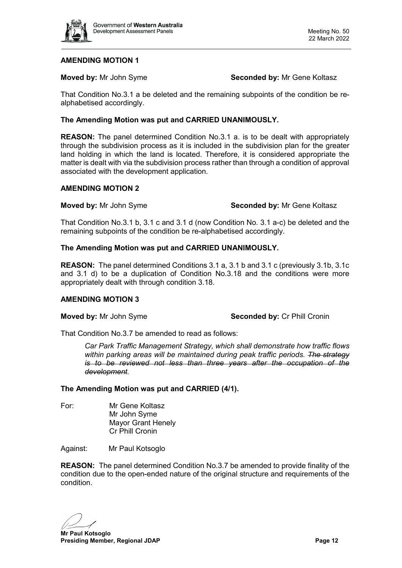

#### **Moved by:** Mr John Syme **Seconded by:** Mr Gene Koltasz

That Condition No.3.1 a be deleted and the remaining subpoints of the condition be realphabetised accordingly.

#### **The Amending Motion was put and CARRIED UNANIMOUSLY.**

**REASON:** The panel determined Condition No.3.1 a. is to be dealt with appropriately through the subdivision process as it is included in the subdivision plan for the greater land holding in which the land is located. Therefore, it is considered appropriate the matter is dealt with via the subdivision process rather than through a condition of approval associated with the development application.

#### **AMENDING MOTION 2**

#### **Moved by:** Mr John Syme **Seconded by:** Mr Gene Koltasz

That Condition No.3.1 b, 3.1 c and 3.1 d (now Condition No. 3.1 a-c) be deleted and the remaining subpoints of the condition be re-alphabetised accordingly.

#### **The Amending Motion was put and CARRIED UNANIMOUSLY.**

**REASON:** The panel determined Conditions 3.1 a, 3.1 b and 3.1 c (previously 3.1b, 3.1c and 3.1 d) to be a duplication of Condition No.3.18 and the conditions were more appropriately dealt with through condition 3.18.

#### **AMENDING MOTION 3**

**Moved by:** Mr John Syme **Seconded by:** Cr Phill Cronin

That Condition No.3.7 be amended to read as follows:

*Car Park Traffic Management Strategy, which shall demonstrate how traffic flows within parking areas will be maintained during peak traffic periods. The strategy is to be reviewed not less than three years after the occupation of the development.* 

#### **The Amending Motion was put and CARRIED (4/1).**

For: Mr Gene Koltasz Mr John Syme Mayor Grant Henely Cr Phill Cronin

Against: Mr Paul Kotsoglo

**REASON:** The panel determined Condition No.3.7 be amended to provide finality of the condition due to the open-ended nature of the original structure and requirements of the condition.

**Mr Paul Kotsoglo Presiding Member, Regional JDAP Page 12 Page 12**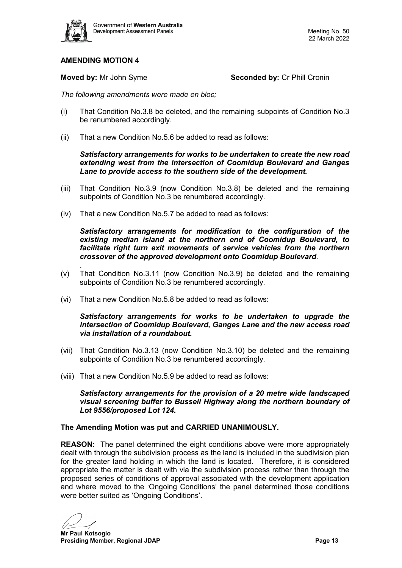

**Moved by:** Mr John Syme **Seconded by: Cr Phill Cronin** 

*The following amendments were made en bloc;*

- (i) That Condition No.3.8 be deleted, and the remaining subpoints of Condition No.3 be renumbered accordingly.
- (ii) That a new Condition No.5.6 be added to read as follows:

#### *Satisfactory arrangements for works to be undertaken to create the new road extending west from the intersection of Coomidup Boulevard and Ganges Lane to provide access to the southern side of the development.*

- (iii) That Condition No.3.9 (now Condition No.3.8) be deleted and the remaining subpoints of Condition No.3 be renumbered accordingly.
- (iv) That a new Condition No.5.7 be added to read as follows:

*Satisfactory arrangements for modification to the configuration of the existing median island at the northern end of Coomidup Boulevard, to facilitate right turn exit movements of service vehicles from the northern crossover of the approved development onto Coomidup Boulevard*.

- . (v) That Condition No.3.11 (now Condition No.3.9) be deleted and the remaining subpoints of Condition No.3 be renumbered accordingly.
- (vi) That a new Condition No.5.8 be added to read as follows:

#### *Satisfactory arrangements for works to be undertaken to upgrade the intersection of Coomidup Boulevard, Ganges Lane and the new access road via installation of a roundabout.*

- (vii) That Condition No.3.13 (now Condition No.3.10) be deleted and the remaining subpoints of Condition No.3 be renumbered accordingly.
- (viii) That a new Condition No.5.9 be added to read as follows:

*Satisfactory arrangements for the provision of a 20 metre wide landscaped visual screening buffer to Bussell Highway along the northern boundary of Lot 9556/proposed Lot 124.*

#### **The Amending Motion was put and CARRIED UNANIMOUSLY.**

**REASON:** The panel determined the eight conditions above were more appropriately dealt with through the subdivision process as the land is included in the subdivision plan for the greater land holding in which the land is located. Therefore, it is considered appropriate the matter is dealt with via the subdivision process rather than through the proposed series of conditions of approval associated with the development application and where moved to the 'Ongoing Conditions' the panel determined those conditions were better suited as 'Ongoing Conditions'.

**Mr Paul Kotsoglo Presiding Member, Regional JDAP Page 13**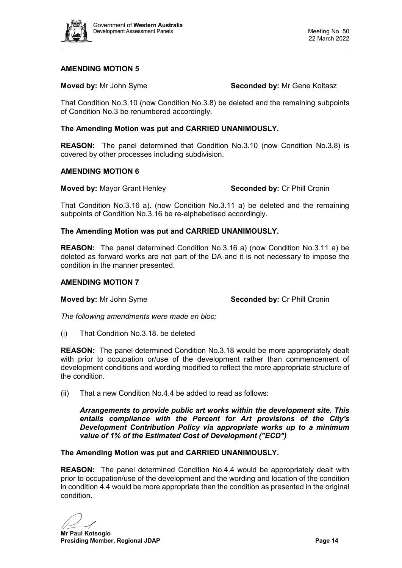

**Moved by:** Mr John Syme **Seconded by:** Mr Gene Koltasz

That Condition No.3.10 (now Condition No.3.8) be deleted and the remaining subpoints of Condition No.3 be renumbered accordingly.

#### **The Amending Motion was put and CARRIED UNANIMOUSLY.**

**REASON:** The panel determined that Condition No.3.10 (now Condition No.3.8) is covered by other processes including subdivision.

#### **AMENDING MOTION 6**

**Moved by:** Mayor Grant Henley **Seconded by:** Cr Phill Cronin

That Condition No.3.16 a). (now Condition No.3.11 a) be deleted and the remaining subpoints of Condition No.3.16 be re-alphabetised accordingly.

#### **The Amending Motion was put and CARRIED UNANIMOUSLY.**

**REASON:** The panel determined Condition No.3.16 a) (now Condition No.3.11 a) be deleted as forward works are not part of the DA and it is not necessary to impose the condition in the manner presented.

#### **AMENDING MOTION 7**

**Moved by:** Mr John Syme **Seconded by:** Cr Phill Cronin

*The following amendments were made en bloc;*

(i) That Condition No.3.18. be deleted

**REASON:** The panel determined Condition No.3.18 would be more appropriately dealt with prior to occupation or/use of the development rather than commencement of development conditions and wording modified to reflect the more appropriate structure of the condition.

(ii) That a new Condition No.4.4 be added to read as follows:

*Arrangements to provide public art works within the development site. This entails compliance with the Percent for Art provisions of the City's Development Contribution Policy via appropriate works up to a minimum value of 1% of the Estimated Cost of Development ("ECD")*

#### **The Amending Motion was put and CARRIED UNANIMOUSLY.**

**REASON:** The panel determined Condition No.4.4 would be appropriately dealt with prior to occupation/use of the development and the wording and location of the condition in condition 4.4 would be more appropriate than the condition as presented in the original condition.

**Mr Paul Kotsoglo Presiding Member, Regional JDAP Page 14 Page 14 Page 14**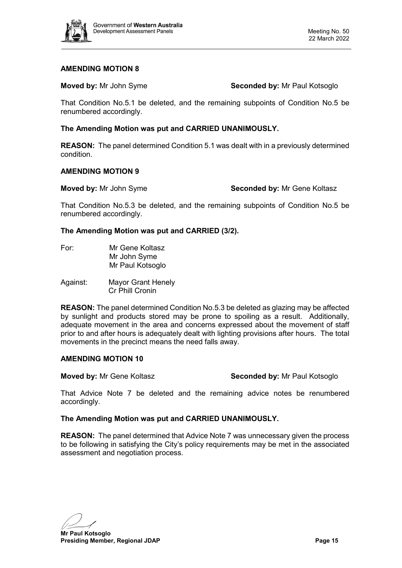

**Moved by:** Mr John Syme **Seconded by:** Mr Paul Kotsoglo

That Condition No.5.1 be deleted, and the remaining subpoints of Condition No.5 be renumbered accordingly.

#### **The Amending Motion was put and CARRIED UNANIMOUSLY.**

**REASON:** The panel determined Condition 5.1 was dealt with in a previously determined condition.

#### **AMENDING MOTION 9**

**Moved by:** Mr John Syme **Seconded by:** Mr Gene Koltasz

That Condition No.5.3 be deleted, and the remaining subpoints of Condition No.5 be renumbered accordingly.

#### **The Amending Motion was put and CARRIED (3/2).**

- For: Mr Gene Koltasz Mr John Syme Mr Paul Kotsoglo
- Against: Mayor Grant Henely Cr Phill Cronin

**REASON:** The panel determined Condition No.5.3 be deleted as glazing may be affected by sunlight and products stored may be prone to spoiling as a result. Additionally, adequate movement in the area and concerns expressed about the movement of staff prior to and after hours is adequately dealt with lighting provisions after hours. The total movements in the precinct means the need falls away.

#### **AMENDING MOTION 10**

**Moved by:** Mr Gene Koltasz **Seconded by:** Mr Paul Kotsoglo

That Advice Note 7 be deleted and the remaining advice notes be renumbered accordingly.

### **The Amending Motion was put and CARRIED UNANIMOUSLY.**

**REASON:** The panel determined that Advice Note 7 was unnecessary given the process to be following in satisfying the City's policy requirements may be met in the associated assessment and negotiation process.

**Mr Paul Kotsoglo**

**Presiding Member, Regional JDAP Page 15 Page 15**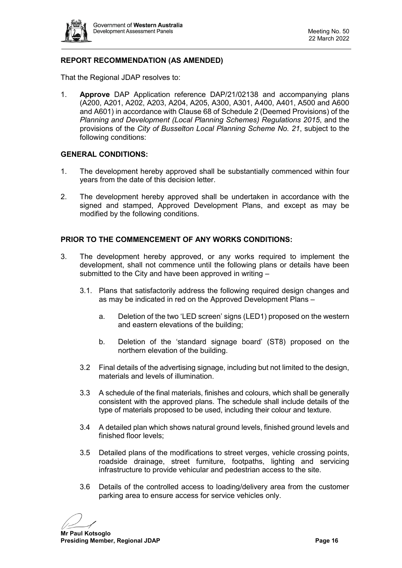

# **REPORT RECOMMENDATION (AS AMENDED)**

That the Regional JDAP resolves to:

1. **Approve** DAP Application reference DAP/21/02138 and accompanying plans (A200, A201, A202, A203, A204, A205, A300, A301, A400, A401, A500 and A600 and A601) in accordance with Clause 68 of Schedule 2 (Deemed Provisions) of the *Planning and Development (Local Planning Schemes) Regulations 2015*, and the provisions of the *City of Busselton Local Planning Scheme No. 21*, subject to the following conditions:

#### **GENERAL CONDITIONS:**

- 1. The development hereby approved shall be substantially commenced within four years from the date of this decision letter.
- 2. The development hereby approved shall be undertaken in accordance with the signed and stamped, Approved Development Plans, and except as may be modified by the following conditions.

#### **PRIOR TO THE COMMENCEMENT OF ANY WORKS CONDITIONS:**

- 3. The development hereby approved, or any works required to implement the development, shall not commence until the following plans or details have been submitted to the City and have been approved in writing –
	- 3.1. Plans that satisfactorily address the following required design changes and as may be indicated in red on the Approved Development Plans –
		- a. Deletion of the two 'LED screen' signs (LED1) proposed on the western and eastern elevations of the building;
		- b. Deletion of the 'standard signage board' (ST8) proposed on the northern elevation of the building.
	- 3.2 Final details of the advertising signage, including but not limited to the design, materials and levels of illumination.
	- 3.3 A schedule of the final materials, finishes and colours, which shall be generally consistent with the approved plans. The schedule shall include details of the type of materials proposed to be used, including their colour and texture.
	- 3.4 A detailed plan which shows natural ground levels, finished ground levels and finished floor levels;
	- 3.5 Detailed plans of the modifications to street verges, vehicle crossing points, roadside drainage, street furniture, footpaths, lighting and servicing infrastructure to provide vehicular and pedestrian access to the site.
	- 3.6 Details of the controlled access to loading/delivery area from the customer parking area to ensure access for service vehicles only.

**Mr Paul Kotsoglo**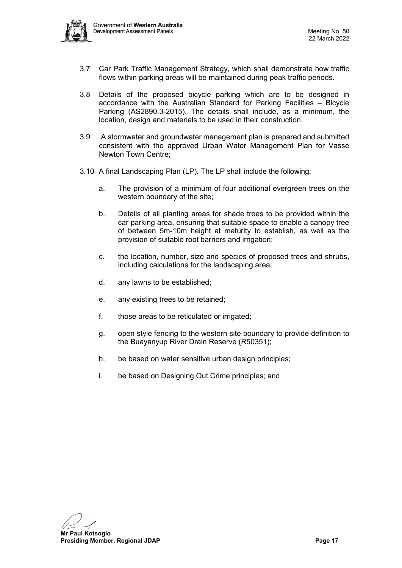

- 3.7 Car Park Traffic Management Strategy, which shall demonstrate how traffic flows within parking areas will be maintained during peak traffic periods.
- 3.8 Details of the proposed bicycle parking which are to be designed in accordance with the Australian Standard for Parking Facilities – Bicycle Parking (AS2890.3-2015). The details shall include, as a minimum, the location, design and materials to be used in their construction.
- 3.9 .A stormwater and groundwater management plan is prepared and submitted consistent with the approved Urban Water Management Plan for Vasse Newton Town Centre;
- 3.10 A final Landscaping Plan (LP). The LP shall include the following:
	- a. The provision of a minimum of four additional evergreen trees on the western boundary of the site;
	- b. Details of all planting areas for shade trees to be provided within the car parking area, ensuring that suitable space to enable a canopy tree of between 5m-10m height at maturity to establish, as well as the provision of suitable root barriers and irrigation;
	- c. the location, number, size and species of proposed trees and shrubs, including calculations for the landscaping area;
	- d. any lawns to be established;
	- e. any existing trees to be retained;
	- f. those areas to be reticulated or irrigated;
	- g. open style fencing to the western site boundary to provide definition to the Buayanyup River Drain Reserve (R50351);
	- h. be based on water sensitive urban design principles;
	- i. be based on Designing Out Crime principles; and

**Mr Paul Kotsoglo**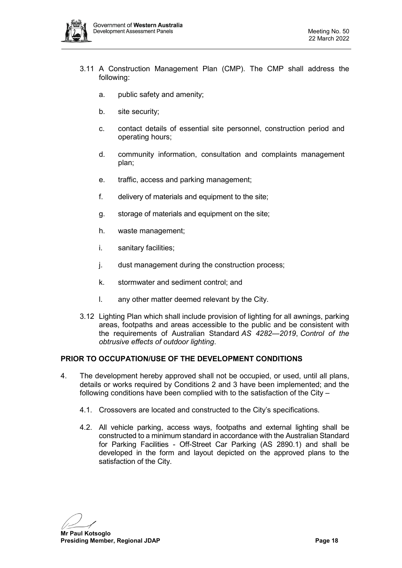

- 3.11 A Construction Management Plan (CMP). The CMP shall address the following:
	- a. public safety and amenity;
	- b. site security;
	- c. contact details of essential site personnel, construction period and operating hours;
	- d. community information, consultation and complaints management plan;
	- e. traffic, access and parking management;
	- f. delivery of materials and equipment to the site;
	- g. storage of materials and equipment on the site;
	- h. waste management;
	- i. sanitary facilities;
	- j. dust management during the construction process;
	- k. stormwater and sediment control; and
	- l. any other matter deemed relevant by the City.
- 3.12 Lighting Plan which shall include provision of lighting for all awnings, parking areas, footpaths and areas accessible to the public and be consistent with the requirements of Australian Standard *AS 4282—2019*, *Control of the obtrusive effects of outdoor lighting*.

### **PRIOR TO OCCUPATION/USE OF THE DEVELOPMENT CONDITIONS**

- 4. The development hereby approved shall not be occupied, or used, until all plans, details or works required by Conditions 2 and 3 have been implemented; and the following conditions have been complied with to the satisfaction of the City –
	- 4.1. Crossovers are located and constructed to the City's specifications.
	- 4.2. All vehicle parking, access ways, footpaths and external lighting shall be constructed to a minimum standard in accordance with the Australian Standard for Parking Facilities - Off-Street Car Parking (AS 2890.1) and shall be developed in the form and layout depicted on the approved plans to the satisfaction of the City.

**Mr Paul Kotsoglo**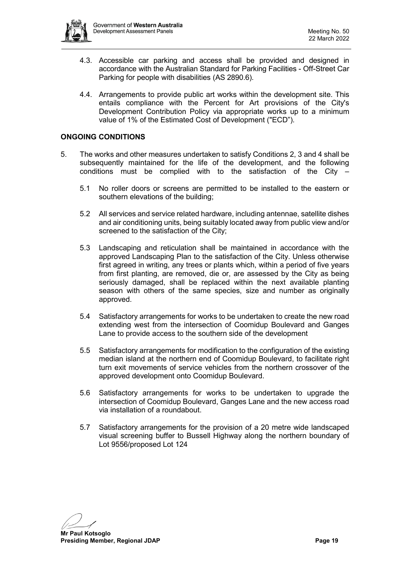

- 4.3. Accessible car parking and access shall be provided and designed in accordance with the Australian Standard for Parking Facilities - Off-Street Car Parking for people with disabilities (AS 2890.6).
- 4.4. Arrangements to provide public art works within the development site. This entails compliance with the Percent for Art provisions of the City's Development Contribution Policy via appropriate works up to a minimum value of 1% of the Estimated Cost of Development ("ECD").

#### **ONGOING CONDITIONS**

- 5. The works and other measures undertaken to satisfy Conditions 2, 3 and 4 shall be subsequently maintained for the life of the development, and the following conditions must be complied with to the satisfaction of the City  $-$ 
	- 5.1 No roller doors or screens are permitted to be installed to the eastern or southern elevations of the building;
	- 5.2 All services and service related hardware, including antennae, satellite dishes and air conditioning units, being suitably located away from public view and/or screened to the satisfaction of the City;
	- 5.3 Landscaping and reticulation shall be maintained in accordance with the approved Landscaping Plan to the satisfaction of the City. Unless otherwise first agreed in writing, any trees or plants which, within a period of five years from first planting, are removed, die or, are assessed by the City as being seriously damaged, shall be replaced within the next available planting season with others of the same species, size and number as originally approved.
	- 5.4 Satisfactory arrangements for works to be undertaken to create the new road extending west from the intersection of Coomidup Boulevard and Ganges Lane to provide access to the southern side of the development
	- 5.5 Satisfactory arrangements for modification to the configuration of the existing median island at the northern end of Coomidup Boulevard, to facilitate right turn exit movements of service vehicles from the northern crossover of the approved development onto Coomidup Boulevard.
	- 5.6 Satisfactory arrangements for works to be undertaken to upgrade the intersection of Coomidup Boulevard, Ganges Lane and the new access road via installation of a roundabout.
	- 5.7 Satisfactory arrangements for the provision of a 20 metre wide landscaped visual screening buffer to Bussell Highway along the northern boundary of Lot 9556/proposed Lot 124

**Mr Paul Kotsoglo**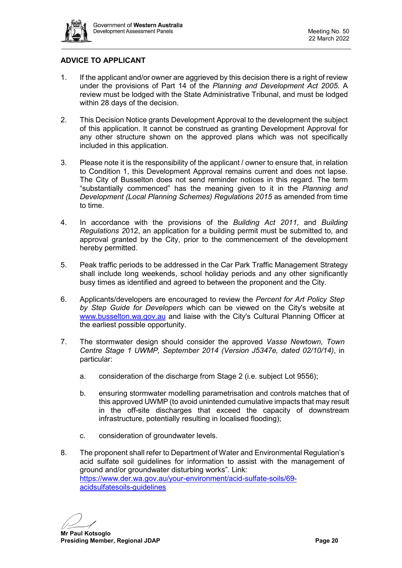

# **ADVICE TO APPLICANT**

- 1. If the applicant and/or owner are aggrieved by this decision there is a right of review under the provisions of Part 14 of the *Planning and Development Act 2005*. A review must be lodged with the State Administrative Tribunal, and must be lodged within 28 days of the decision.
- 2. This Decision Notice grants Development Approval to the development the subject of this application. It cannot be construed as granting Development Approval for any other structure shown on the approved plans which was not specifically included in this application.
- 3. Please note it is the responsibility of the applicant / owner to ensure that, in relation to Condition 1, this Development Approval remains current and does not lapse. The City of Busselton does not send reminder notices in this regard. The term "substantially commenced" has the meaning given to it in the *Planning and Development (Local Planning Schemes) Regulations 2015* as amended from time to time.
- 4. In accordance with the provisions of the *Building Act 2011*, and *Building Regulations 2*012, an application for a building permit must be submitted to, and approval granted by the City, prior to the commencement of the development hereby permitted.
- 5. Peak traffic periods to be addressed in the Car Park Traffic Management Strategy shall include long weekends, school holiday periods and any other significantly busy times as identified and agreed to between the proponent and the City.
- 6. Applicants/developers are encouraged to review the *Percent for Art Policy Step by Step Guide for Developers* which can be viewed on the City's website at [www.busselton.wa.gov.au](http://www.busselton.wa.gov.au/) and liaise with the City's Cultural Planning Officer at the earliest possible opportunity.
- 7. The stormwater design should consider the approved *Vasse Newtown, Town Centre Stage 1 UWMP, September 2014 (Version J5347e, dated 02/10/14)*, in particular:
	- a. consideration of the discharge from Stage 2 (i.e. subject Lot 9556);
	- b. ensuring stormwater modelling parametrisation and controls matches that of this approved UWMP (to avoid unintended cumulative impacts that may result in the off-site discharges that exceed the capacity of downstream infrastructure, potentially resulting in localised flooding);
	- c. consideration of groundwater levels.
- 8. The proponent shall refer to Department of Water and Environmental Regulation's acid sulfate soil guidelines for information to assist with the management of ground and/or groundwater disturbing works". Link: [https://www.der.wa.gov.au/your-environment/acid-sulfate-soils/69](https://www.der.wa.gov.au/your-environment/acid-sulfate-soils/69-acidsulfatesoils-guidelines) [acidsulfatesoils-guidelines](https://www.der.wa.gov.au/your-environment/acid-sulfate-soils/69-acidsulfatesoils-guidelines)

**Mr Paul Kotsoglo Presiding Member, Regional JDAP Page 20 Page 20**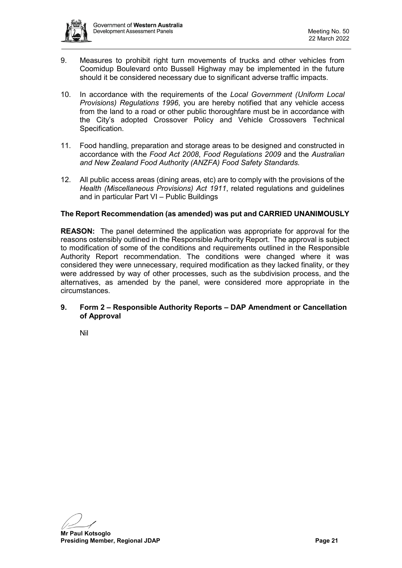

- 9. Measures to prohibit right turn movements of trucks and other vehicles from Coomidup Boulevard onto Bussell Highway may be implemented in the future should it be considered necessary due to significant adverse traffic impacts.
- 10. In accordance with the requirements of the *Local Government (Uniform Local Provisions) Regulations 1996*, you are hereby notified that any vehicle access from the land to a road or other public thoroughfare must be in accordance with the City's adopted Crossover Policy and Vehicle Crossovers Technical Specification.
- 11. Food handling, preparation and storage areas to be designed and constructed in accordance with the *Food Act 2008*, *Food Regulations 2009* and the *Australian and New Zealand Food Authority (ANZFA) Food Safety Standards.*
- 12. All public access areas (dining areas, etc) are to comply with the provisions of the *Health (Miscellaneous Provisions) Act 1911*, related regulations and guidelines and in particular Part VI – Public Buildings

#### **The Report Recommendation (as amended) was put and CARRIED UNANIMOUSLY**

**REASON:** The panel determined the application was appropriate for approval for the reasons ostensibly outlined in the Responsible Authority Report. The approval is subject to modification of some of the conditions and requirements outlined in the Responsible Authority Report recommendation. The conditions were changed where it was considered they were unnecessary, required modification as they lacked finality, or they were addressed by way of other processes, such as the subdivision process, and the alternatives, as amended by the panel, were considered more appropriate in the circumstances.

#### <span id="page-20-0"></span>**9. Form 2 – Responsible Authority Reports – DAP Amendment or Cancellation of Approval**

<span id="page-20-1"></span>Nil

**Mr Paul Kotsoglo**

**Presiding Member, Regional JDAP Page 21 Page 21 Page 21**